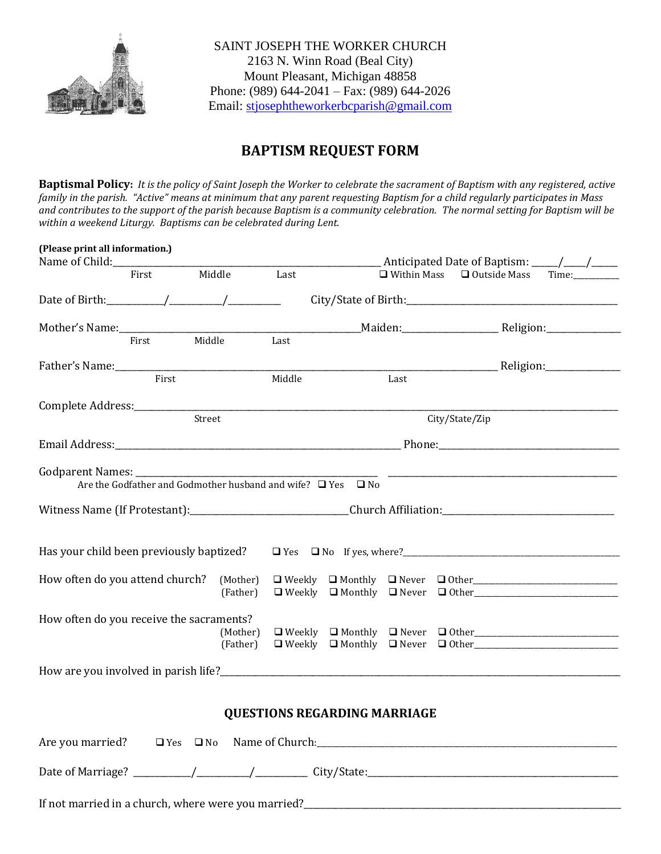

SAINT JOSEPH THE WORKER CHURCH 2163 N. Winn Road (Beal City) Mount Pleasant, Michigan 48858 Phone: (989) 644-2041 – Fax: (989) 644-2026 Email: [stjosephtheworkerbcparish@gmail.com](mailto:stjosephtheworkerbcparish@gmail.com)

## **BAPTISM REQUEST FORM**

**Baptismal Policy:** *It is the policy of Saint Joseph the Worker to celebrate the sacrament of Baptism with any registered, active family in the parish. "Active" means at minimum that any parent requesting Baptism for a child regularly participates in Mass and contributes to the support of the parish because Baptism is a community celebration. The normal setting for Baptism will be within a weekend Liturgy. Baptisms can be celebrated during Lent.* 

| (Please print all information.)<br>Name of Child: |       |                                                                        |        |                                                                                           |  |                                                                                                                  |  |  |
|---------------------------------------------------|-------|------------------------------------------------------------------------|--------|-------------------------------------------------------------------------------------------|--|------------------------------------------------------------------------------------------------------------------|--|--|
|                                                   | First | Middle                                                                 | Last   |                                                                                           |  | $\Box$ Within Mass $\Box$ Outside Mass<br>Time:                                                                  |  |  |
|                                                   |       |                                                                        |        |                                                                                           |  |                                                                                                                  |  |  |
|                                                   | First | Middle                                                                 | Last   |                                                                                           |  |                                                                                                                  |  |  |
|                                                   |       |                                                                        |        |                                                                                           |  |                                                                                                                  |  |  |
|                                                   | First |                                                                        | Middle | Last                                                                                      |  |                                                                                                                  |  |  |
| Complete Address:________________                 |       | Street                                                                 |        | the control of the control of the control of the control of the control of the control of |  | City/State/Zip                                                                                                   |  |  |
|                                                   |       |                                                                        |        |                                                                                           |  |                                                                                                                  |  |  |
| Godparent Names: __________                       |       | Are the Godfather and Godmother husband and wife? $\Box$ Yes $\Box$ No |        |                                                                                           |  |                                                                                                                  |  |  |
|                                                   |       |                                                                        |        |                                                                                           |  |                                                                                                                  |  |  |
| Has your child been previously baptized?          |       |                                                                        |        |                                                                                           |  |                                                                                                                  |  |  |
| How often do you attend church?                   |       | (Mother)<br>(Father)                                                   |        |                                                                                           |  | $\Box$ Weekly $\Box$ Monthly $\Box$ Never $\Box$ Other<br>$\Box$ Weekly $\Box$ Monthly $\Box$ Never $\Box$ Other |  |  |
| How often do you receive the sacraments?          |       | (Mother)<br>(Father)                                                   |        |                                                                                           |  | $\Box$ Weekly $\Box$ Monthly $\Box$ Never $\Box$ Other<br>$\Box$ Weekly $\Box$ Monthly $\Box$ Never $\Box$ Other |  |  |
|                                                   |       |                                                                        |        |                                                                                           |  |                                                                                                                  |  |  |
| <b>QUESTIONS REGARDING MARRIAGE</b>               |       |                                                                        |        |                                                                                           |  |                                                                                                                  |  |  |
|                                                   |       |                                                                        |        |                                                                                           |  |                                                                                                                  |  |  |
|                                                   |       |                                                                        |        |                                                                                           |  |                                                                                                                  |  |  |
|                                                   |       |                                                                        |        |                                                                                           |  |                                                                                                                  |  |  |